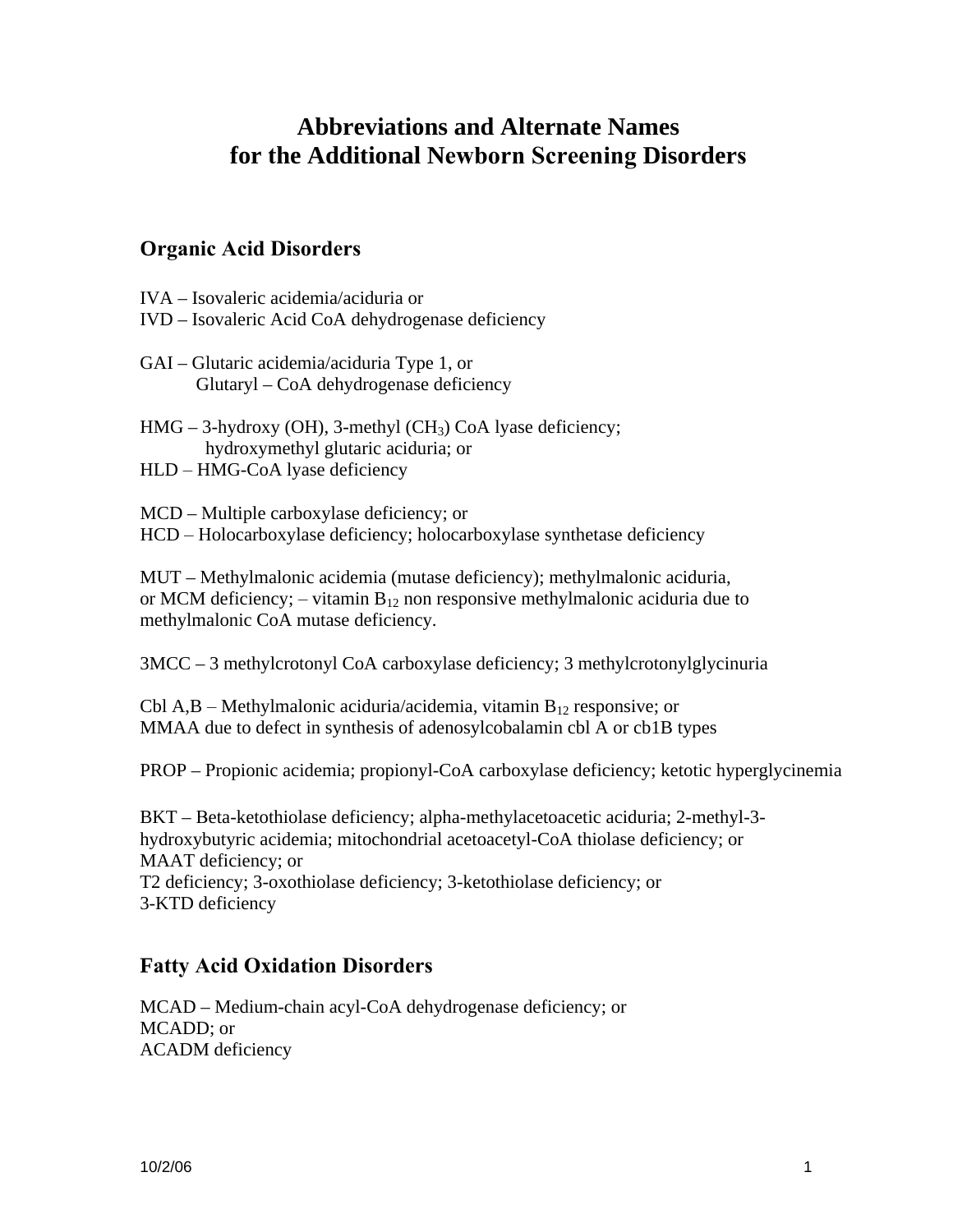# **Abbreviations and Alternate Names for the Additional Newborn Screening Disorders**

#### **Organic Acid Disorders**

IVA – Isovaleric acidemia/aciduria or

IVD – Isovaleric Acid CoA dehydrogenase deficiency

GAI – Glutaric acidemia/aciduria Type 1, or Glutaryl – CoA dehydrogenase deficiency

 $HMG - 3$ -hydroxy (OH), 3-methyl (CH<sub>3</sub>) CoA lyase deficiency; hydroxymethyl glutaric aciduria; or

HLD – HMG-CoA lyase deficiency

MCD – Multiple carboxylase deficiency; or

HCD – Holocarboxylase deficiency; holocarboxylase synthetase deficiency

MUT – Methylmalonic acidemia (mutase deficiency); methylmalonic aciduria, or MCM deficiency; – vitamin  $B_{12}$  non responsive methylmalonic aciduria due to methylmalonic CoA mutase deficiency.

3MCC – 3 methylcrotonyl CoA carboxylase deficiency; 3 methylcrotonylglycinuria

Cbl A,B – Methylmalonic aciduria/acidemia, vitamin  $B_{12}$  responsive; or MMAA due to defect in synthesis of adenosylcobalamin cbl A or cb1B types

PROP – Propionic acidemia; propionyl-CoA carboxylase deficiency; ketotic hyperglycinemia

BKT – Beta-ketothiolase deficiency; alpha-methylacetoacetic aciduria; 2-methyl-3 hydroxybutyric acidemia; mitochondrial acetoacetyl-CoA thiolase deficiency; or MAAT deficiency; or T2 deficiency; 3-oxothiolase deficiency; 3-ketothiolase deficiency; or 3-KTD deficiency

### **Fatty Acid Oxidation Disorders**

MCAD – Medium-chain acyl-CoA dehydrogenase deficiency; or MCADD; or ACADM deficiency